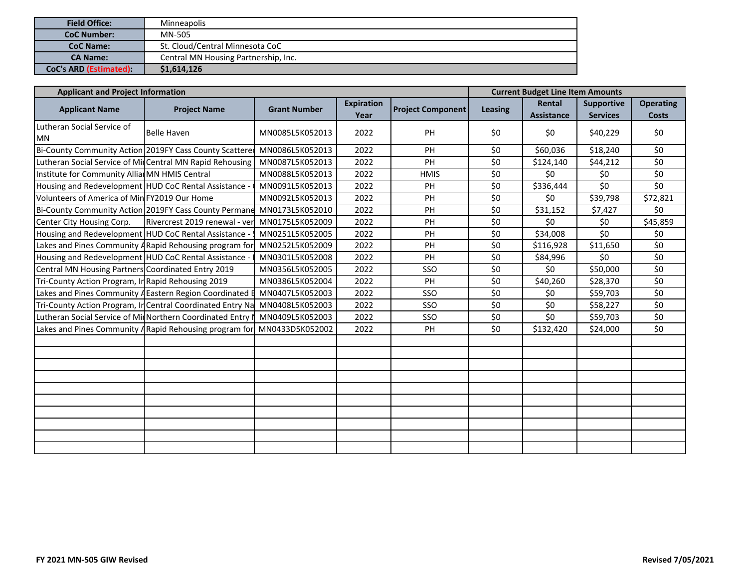| <b>Field Office:</b>         | <b>Minneapolis</b>                   |  |  |  |  |  |
|------------------------------|--------------------------------------|--|--|--|--|--|
| <b>CoC Number:</b>           | MN-505                               |  |  |  |  |  |
| <b>CoC Name:</b>             | St. Cloud/Central Minnesota CoC      |  |  |  |  |  |
| <b>CA Name:</b>              | Central MN Housing Partnership, Inc. |  |  |  |  |  |
| <b>CoC's ARD (Estimated)</b> | \$1,614,126                          |  |  |  |  |  |

| <b>Applicant and Project Information</b>                  |                                                            | <b>Current Budget Line Item Amounts</b>          |      |                          |                |                             |                                      |                                  |
|-----------------------------------------------------------|------------------------------------------------------------|--------------------------------------------------|------|--------------------------|----------------|-----------------------------|--------------------------------------|----------------------------------|
| <b>Applicant Name</b>                                     | <b>Project Name</b>                                        | <b>Expiration</b><br><b>Grant Number</b><br>Year |      | <b>Project Component</b> | <b>Leasing</b> | Rental<br><b>Assistance</b> | <b>Supportive</b><br><b>Services</b> | <b>Operating</b><br><b>Costs</b> |
| Lutheran Social Service of<br><b>MN</b>                   | <b>Belle Haven</b>                                         |                                                  | 2022 | PH                       | \$0            | \$0                         | \$40,229                             | \$0                              |
| Bi-County Community Action 2019FY Cass County Scattered   |                                                            | MN0086L5K052013                                  | 2022 | <b>PH</b>                | \$0            | \$60,036                    | \$18,240                             | \$0                              |
| Lutheran Social Service of Mir Central MN Rapid Rehousing |                                                            | MN0087L5K052013                                  | 2022 | PH                       | \$0            | \$124,140                   | \$44,212                             | \$0                              |
| Institute for Community AlliarMN HMIS Central             |                                                            | MN0088L5K052013                                  | 2022 | <b>HMIS</b>              | \$0            | \$0                         | \$0                                  | \$0                              |
| Housing and Redevelopment HUD CoC Rental Assistance -     |                                                            | MN0091L5K052013                                  | 2022 | PH                       | \$0            | \$336,444                   | \$0                                  | \$0                              |
| Volunteers of America of Min FY2019 Our Home              |                                                            | MN0092L5K052013                                  | 2022 | PH                       | \$0            | \$0                         | \$39,798                             | \$72,821                         |
|                                                           | Bi-County Community Action 2019FY Cass County Permane      | MN0173L5K052010                                  | 2022 | PH                       | \$0            | \$31,152                    | \$7,427                              | \$0                              |
| Center City Housing Corp.                                 | Rivercrest 2019 renewal - ver                              | MN0175L5K052009                                  | 2022 | PH                       | \$0            | \$0                         | \$0                                  | \$45,859                         |
| Housing and Redevelopment HUD CoC Rental Assistance -     |                                                            | MN0251L5K052005                                  | 2022 | PH                       | \$0            | \$34,008                    | \$0                                  | \$0                              |
| Lakes and Pines Community A Rapid Rehousing program for   |                                                            | MN0252L5K052009                                  | 2022 | PH                       | \$0            | \$116,928                   | \$11,650                             | \$0                              |
| Housing and Redevelopment HUD CoC Rental Assistance -     |                                                            | MN0301L5K052008                                  | 2022 | PH                       | \$0            | \$84,996                    | \$0                                  | \$0                              |
| Central MN Housing Partners Coordinated Entry 2019        |                                                            | MN0356L5K052005                                  | 2022 | SSO                      | \$0            | \$0                         | \$50,000                             | \$0                              |
| Tri-County Action Program, In Rapid Rehousing 2019        |                                                            | MN0386L5K052004                                  | 2022 | PH                       | \$0            | \$40,260                    | \$28,370                             | \$0                              |
| Lakes and Pines Community A Eastern Region Coordinated E  |                                                            | MN0407L5K052003                                  | 2022 | SSO                      | \$0            | \$0                         | \$59,703                             | \$0                              |
|                                                           | Tri-County Action Program, In Central Coordinated Entry Na | MN0408L5K052003                                  | 2022 | SSO                      | \$0            | \$0                         | \$58,227                             | \$0                              |
|                                                           | Lutheran Social Service of MinNorthern Coordinated Entry I | MN0409L5K052003                                  | 2022 | SSO                      | \$0            | \$0                         | \$59,703                             | \$0                              |
|                                                           | Lakes and Pines Community A Rapid Rehousing program for    | MN0433D5K052002                                  | 2022 | PH                       | \$0            | \$132,420                   | \$24,000                             | \$0                              |
|                                                           |                                                            |                                                  |      |                          |                |                             |                                      |                                  |
|                                                           |                                                            |                                                  |      |                          |                |                             |                                      |                                  |
|                                                           |                                                            |                                                  |      |                          |                |                             |                                      |                                  |
|                                                           |                                                            |                                                  |      |                          |                |                             |                                      |                                  |
|                                                           |                                                            |                                                  |      |                          |                |                             |                                      |                                  |
|                                                           |                                                            |                                                  |      |                          |                |                             |                                      |                                  |
|                                                           |                                                            |                                                  |      |                          |                |                             |                                      |                                  |
|                                                           |                                                            |                                                  |      |                          |                |                             |                                      |                                  |
|                                                           |                                                            |                                                  |      |                          |                |                             |                                      |                                  |
|                                                           |                                                            |                                                  |      |                          |                |                             |                                      |                                  |